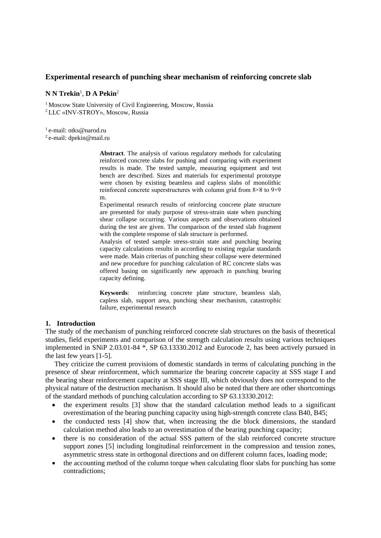## **Experimental research of punching shear mechanism of reinforcing concrete slab**

#### **N N Trekin**<sup>1</sup> , **D A Pekin**<sup>2</sup>

<sup>1</sup> Moscow State University of Civil Engineering, Moscow, Russia <sup>2</sup>LLC «INV-STROY», Moscow, Russia

<sup>1</sup> e-mail: otks@narod.ru

<sup>2</sup>e-mail: dpekin@mail.ru

**Abstract**. The analysis of various regulatory methods for calculating reinforced concrete slabs for pushing and comparing with experiment results is made. The tested sample, measuring equipment and test bench are described. Sizes and materials for experimental prototype were chosen by existing beamless and capless slabs of monolithic reinforced concrete superstructures with column grid from 8×8 to 9×9 m.

Experimental research results of reinforcing concrete plate structure are presented for study purpose of stress-strain state when punching shear collapse occurring. Various aspects and observations obtained during the test are given. The comparison of the tested slab fragment with the complete response of slab structure is performed.

Analysis of tested sample stress-strain state and punching bearing capacity calculations results in according to existing regular standards were made. Main criterias of punching shear collapse were determined and new procedure for punching calculation of RC concrete slabs was offered basing on significantly new approach in punching bearing capacity defining.

**Keywords**: reinforcing concrete plate structure, beamless slab, capless slab, support area, punching shear mechanism, catastrophic failure, experimental research

#### **1. Introduction**

The study of the mechanism of punching reinforced concrete slab structures on the basis of theoretical studies, field experiments and comparison of the strength calculation results using various techniques implemented in SNiP 2.03.01-84 \*, SP 63.13330.2012 and Eurocode 2, has been actively pursued in the last few years [1-5].

They criticize the current provisions of domestic standards in terms of calculating punching in the presence of shear reinforcement, which summarize the bearing concrete capacity at SSS stage I and the bearing shear reinforcement capacity at SSS stage III, which obviously does not correspond to the physical nature of the destruction mechanism. It should also be noted that there are other shortcomings of the standard methods of punching calculation according to SP 63.13330.2012:

- the experiment results [3] show that the standard calculation method leads to a significant overestimation of the bearing punching capacity using high-strength concrete class B40, B45;
- the conducted tests [4] show that, when increasing the die block dimensions, the standard calculation method also leads to an overestimation of the bearing punching capacity;
- there is no consideration of the actual SSS pattern of the slab reinforced concrete structure support zones [5] including longitudinal reinforcement in the compression and tension zones, asymmetric stress state in orthogonal directions and on different column faces, loading mode;
- the accounting method of the column torque when calculating floor slabs for punching has some contradictions;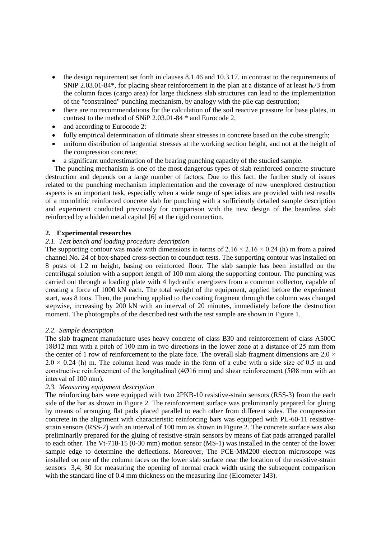- the design requirement set forth in clauses 8.1.46 and 10.3.17, in contrast to the requirements of SNiP 2.03.01-84\*, for placing shear reinforcement in the plan at a distance of at least  $h_0/3$  from the column faces (cargo area) for large thickness slab structures can lead to the implementation of the "constrained" punching mechanism, by analogy with the pile cap destruction;
- there are no recommendations for the calculation of the soil reactive pressure for base plates, in contrast to the method of SNiP 2.03.01-84 \* and Eurocode 2,
- and according to Eurocode 2:
- fully empirical determination of ultimate shear stresses in concrete based on the cube strength;
- uniform distribution of tangential stresses at the working section height, and not at the height of the compression concrete;
- a significant underestimation of the bearing punching capacity of the studied sample.

The punching mechanism is one of the most dangerous types of slab reinforced concrete structure destruction and depends on a large number of factors. Due to this fact, the further study of issues related to the punching mechanism implementation and the coverage of new unexplored destruction aspects is an important task, especially when a wide range of specialists are provided with test results of a monolithic reinforced concrete slab for punching with a sufficiently detailed sample description and experiment conducted previously for comparison with the new design of the beamless slab reinforced by a hidden metal capital [6] at the rigid connection.

# **2. Experimental researches**

## *2.1. Test bench and loading procedure description*

The supporting contour was made with dimensions in terms of  $2.16 \times 2.16 \times 0.24$  (h) m from a paired channel No. 24 of box-shaped cross-section to counduct tests. The supporting contour was installed on 8 posts of 1.2 m height, basing on reinforced floor. The slab sample has been installed on the centrifugal solution with a support length of 100 mm along the supporting contour. The punching was carried out through a loading plate with 4 hydraulic energizers from a common collector, capable of creating a force of 1000 kN each. The total weight of the equipment, applied before the experiment start, was 8 tons. Then, the punching applied to the coating fragment through the column was changed stepwise, increasing by 200 kN with an interval of 20 minutes, immediately before the destruction moment. The photographs of the described test with the test sample are shown in Figure 1.

## *2.2. Sample description*

The slab fragment manufacture uses heavy concrete of class B30 and reinforcement of class A500C 18Ø12 mm with a pitch of 100 mm in two directions in the lower zone at a distance of 25 mm from the center of 1 row of reinforcement to the plate face. The overall slab fragment dimensions are  $2.0 \times$  $2.0 \times 0.24$  (h) m. The column head was made in the form of a cube with a side size of 0.5 m and constructive reinforcement of the longitudinal (4Ø16 mm) and shear reinforcement (5Ø8 mm with an interval of 100 mm).

## *2.3. Measuring equipment description*

The reinforcing bars were equipped with two 2PKB-10 resistive-strain sensors (RSS-3) from the each side of the bar as shown in Figure 2. The reinforcement surface was preliminarily prepared for gluing by means of arranging flat pads placed parallel to each other from different sides. The compression concrete in the alignment with characteristic reinforcing bars was equipped with PL-60-11 resistivestrain sensors (RSS-2) with an interval of 100 mm as shown in Figure 2. The concrete surface was also preliminarily prepared for the gluing of resistive-strain sensors by means of flat pads arranged parallel to each other. The Vt-718-15 (0-30 mm) motion sensor (MS-1) was installed in the center of the lower sample edge to determine the deflections. Moreover, The PCE-MM200 electron microscope was installed on one of the column faces on the lower slab surface near the location of the resistive-strain sensors 3,4; 30 for measuring the opening of normal crack width using the subsequent comparison with the standard line of 0.4 mm thickness on the measuring line (Elcometer 143).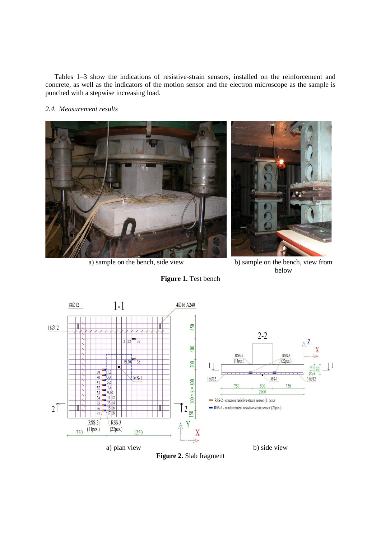Tables 1–3 show the indications of resistive-strain sensors, installed on the reinforcement and concrete, as well as the indicators of the motion sensor and the electron microscope as the sample is punched with a stepwise increasing load.

# *2.4. Measurement results*



a) sample on the bench, side view b) sample on the bench, view from

**Figure 1.** Test bench



below



**Figure 2.** Slab fragment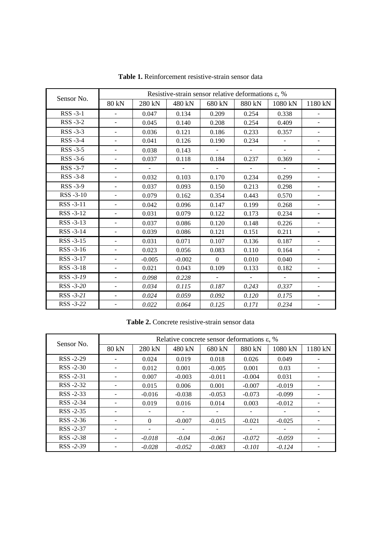| Sensor No.     | Resistive-strain sensor relative deformations $\varepsilon$ , % |          |          |              |                |          |                          |
|----------------|-----------------------------------------------------------------|----------|----------|--------------|----------------|----------|--------------------------|
|                | 80 kN                                                           | 280 kN   | 480 kN   | 680 kN       | 880 kN         | 1080 kN  | 1180 kN                  |
| RSS -3-1       | $\overline{\phantom{0}}$                                        | 0.047    | 0.134    | 0.209        | 0.254          | 0.338    |                          |
| RSS-3-2        | $\overline{\phantom{a}}$                                        | 0.045    | 0.140    | 0.208        | 0.254          | 0.409    | $\overline{\phantom{0}}$ |
| RSS-3-3        | $\overline{\phantom{a}}$                                        | 0.036    | 0.121    | 0.186        | 0.233          | 0.357    | ٠                        |
| RSS-3-4        | $\overline{\phantom{a}}$                                        | 0.041    | 0.126    | 0.190        | 0.234          |          | $\overline{\phantom{a}}$ |
| RSS -3-5       | $\overline{\phantom{a}}$                                        | 0.038    | 0.143    | $\equiv$     | $\equiv$       |          | $\overline{\phantom{a}}$ |
| RSS-3-6        | $\overline{\phantom{a}}$                                        | 0.037    | 0.118    | 0.184        | 0.237          | 0.369    | $\overline{\phantom{0}}$ |
| RSS -3-7       | $\overline{\phantom{a}}$                                        | $\equiv$ |          | $\equiv$     | $\blacksquare$ | $\sim$   | $\overline{\phantom{a}}$ |
| <b>RSS-3-8</b> | $\overline{\phantom{a}}$                                        | 0.032    | 0.103    | 0.170        | 0.234          | 0.299    | $\overline{\phantom{0}}$ |
| RSS-3-9        | $\overline{\phantom{a}}$                                        | 0.037    | 0.093    | 0.150        | 0.213          | 0.298    | $\overline{\phantom{a}}$ |
| RSS-3-10       | $\overline{\phantom{a}}$                                        | 0.079    | 0.162    | 0.354        | 0.443          | 0.570    | -                        |
| RSS-3-11       | $\overline{\phantom{a}}$                                        | 0.042    | 0.096    | 0.147        | 0.199          | 0.268    | $\overline{\phantom{a}}$ |
| RSS-3-12       | $\overline{\phantom{a}}$                                        | 0.031    | 0.079    | 0.122        | 0.173          | 0.234    | $\blacksquare$           |
| RSS-3-13       | $\blacksquare$                                                  | 0.037    | 0.086    | 0.120        | 0.148          | 0.226    | $\frac{1}{2}$            |
| RSS-3-14       | $\blacksquare$                                                  | 0.039    | 0.086    | 0.121        | 0.151          | 0.211    | $\blacksquare$           |
| RSS-3-15       | $\overline{\phantom{a}}$                                        | 0.031    | 0.071    | 0.107        | 0.136          | 0.187    | $\frac{1}{2}$            |
| RSS -3-16      | $\overline{\phantom{a}}$                                        | 0.023    | 0.056    | 0.083        | 0.110          | 0.164    | $\overline{\phantom{a}}$ |
| RSS-3-17       | $\blacksquare$                                                  | $-0.005$ | $-0.002$ | $\mathbf{0}$ | 0.010          | 0.040    | ÷                        |
| RSS-3-18       | $\blacksquare$                                                  | 0.021    | 0.043    | 0.109        | 0.133          | 0.182    | $\overline{\phantom{a}}$ |
| RSS -3-19      | $\overline{\phantom{a}}$                                        | 0.098    | 0.228    | $\omega$     |                | $\omega$ | $\overline{\phantom{0}}$ |
| RSS -3-20      | $\overline{\phantom{a}}$                                        | 0.034    | 0.115    | 0.187        | 0.243          | 0.337    | $\overline{\phantom{0}}$ |
| RSS -3-21      | $\overline{\phantom{0}}$                                        | 0.024    | 0.059    | 0.092        | 0.120          | 0.175    | $\overline{\phantom{0}}$ |
| RSS -3-22      | $\overline{\phantom{a}}$                                        | 0.022    | 0.064    | 0.125        | 0.171          | 0.234    |                          |

**Table 1.** Reinforcement resistive-strain sensor data

| Sensor No.     | Relative concrete sensor deformations $\varepsilon$ , % |          |          |          |          |          |         |
|----------------|---------------------------------------------------------|----------|----------|----------|----------|----------|---------|
|                | 80 kN                                                   | 280 kN   | 480 kN   | 680 kN   | 880 kN   | 1080 kN  | 1180 kN |
| RSS -2-29      | -                                                       | 0.024    | 0.019    | 0.018    | 0.026    | 0.049    | -       |
| $RSS - 2-30$   |                                                         | 0.012    | 0.001    | $-0.005$ | 0.001    | 0.03     |         |
| RSS -2-31      |                                                         | 0.007    | $-0.003$ | $-0.011$ | $-0.004$ | 0.031    | -       |
| $RSS - 2-32$   |                                                         | 0.015    | 0.006    | 0.001    | $-0.007$ | $-0.019$ |         |
| $RSS - 2-33$   |                                                         | $-0.016$ | $-0.038$ | $-0.053$ | $-0.073$ | $-0.099$ |         |
| RSS -2-34      |                                                         | 0.019    | 0.016    | 0.014    | 0.003    | $-0.012$ |         |
| $RSS - 2 - 35$ |                                                         |          |          | -        |          |          |         |
| $RSS - 2-36$   |                                                         | $\Omega$ | $-0.007$ | $-0.015$ | $-0.021$ | $-0.025$ |         |
| RSS -2-37      |                                                         |          |          |          |          |          |         |
| $RSS - 2 - 38$ |                                                         | $-0.018$ | $-0.04$  | $-0.061$ | $-0.072$ | $-0.059$ |         |
| $RSS - 2-39$   |                                                         | $-0.028$ | $-0.052$ | $-0.083$ | $-0.101$ | $-0.124$ |         |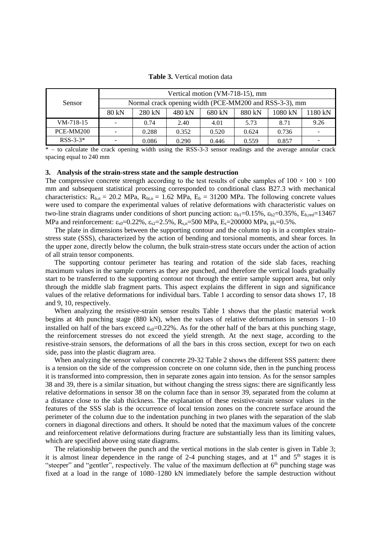| <b>Table 3.</b> Vertical motion data |  |
|--------------------------------------|--|
|--------------------------------------|--|

|               | Vertical motion (VM-718-15), mm |                                                        |        |        |        |         |         |  |
|---------------|---------------------------------|--------------------------------------------------------|--------|--------|--------|---------|---------|--|
| <b>Sensor</b> |                                 | Normal crack opening width (PCE-MM200 and RSS-3-3), mm |        |        |        |         |         |  |
|               | 80 kN                           | 280 kN                                                 | 480 kN | 680 kN | 880 kN | 1080 kN | 1180 kN |  |
| $VM-718-15$   |                                 | 0.74                                                   | 2.40   | 4.01   | 5.73   | 8.71    | 9.26    |  |
| PCE-MM200     |                                 | 0.288                                                  | 0.352  | 0.520  | 0.624  | 0.736   | -       |  |
| $RSS-3-3*$    |                                 | 0.086                                                  | 0.290  | 0.446  | 0.559  | 0.857   |         |  |

\* – to calculate the crack opening width using the RSS-3-3 sensor readings and the average annular crack spacing equal to 240 mm

#### **3. Analysis of the strain-stress state and the sample destruction**

The compressive concrete strength according to the test results of cube samples of  $100 \times 100 \times 100$ mm and subsequent statistical processing corresponded to conditional class B27.3 with mechanical characteristics:  $R_{b,n} = 20.2 \text{ MPa}$ ,  $R_{btn} = 1.62 \text{ MPa}$ ,  $E_b = 31200 \text{ MPa}$ . The following concrete values were used to compare the experimental values of relative deformations with characteristic values on two-line strain diagrams under conditions of short puncing action:  $\varepsilon_{h1}=0.15\%$ ,  $\varepsilon_{h2}=0.35\%$ ,  $E_{h,\text{red}}=13467$ MPa and reinforcement:  $\varepsilon_{s0}=0.22\%$ ,  $\varepsilon_{s2}=2.5\%$ ,  $R_{s,n}=500$  MPa,  $E_s=200000$  MPa,  $\mu_s=0.5\%$ .

The plate in dimensions between the supporting contour and the column top is in a complex strainstress state (SSS), characterized by the action of bending and torsional moments, and shear forces. In the upper zone, directly below the column, the bulk strain-stress state occurs under the action of action of all strain tensor components.

The supporting contour perimeter has tearing and rotation of the side slab faces, reaching maximum values in the sample corners as they are punched, and therefore the vertical loads gradually start to be transferred to the supporting contour not through the entire sample support area, but only through the middle slab fragment parts. This aspect explains the different in sign and significance values of the relative deformations for individual bars. Table 1 according to sensor data shows 17, 18 and 9, 10, respectively.

When analyzing the resistive-strain sensor results Table 1 shows that the plastic material work begins at 4th punching stage (880 kN), when the values of relative deformations in sensors  $1-10$ installed on half of the bars exceed  $\varepsilon_0$ =0.22%. As for the other half of the bars at this punching stage, the reinforcement stresses do not exceed the yield strength. At the next stage, according to the resistive-strain sensors, the deformations of all the bars in this cross section, except for two on each side, pass into the plastic diagram area.

When analyzing the sensor values of concrete 29-32 Table 2 shows the different SSS pattern: there is a tension on the side of the compression concrete on one column side, then in the punching process it is transformed into compression, then in separate zones again into tension. As for the sensor samples 38 and 39, there is a similar situation, but without changing the stress signs: there are significantly less relative deformations in sensor 38 on the column face than in sensor 39, separated from the column at a distance close to the slab thickness. The explanation of these resistive-strain sensor values in the features of the SSS slab is the occurrence of local tension zones on the concrete surface around the perimeter of the column due to the indentation punching in two planes with the separation of the slab corners in diagonal directions and others. It should be noted that the maximum values of the concrete and reinforcement relative deformations during fracture are substantially less than its limiting values, which are specified above using state diagrams.

The relationship between the punch and the vertical motions in the slab center is given in Table 3; it is almost linear dependence in the range of 2-4 punching stages, and at  $1<sup>st</sup>$  and  $5<sup>th</sup>$  stages it is "steeper" and "gentler", respectively. The value of the maximum deflection at  $6<sup>th</sup>$  punching stage was fixed at a load in the range of 1080–1280 kN immediately before the sample destruction without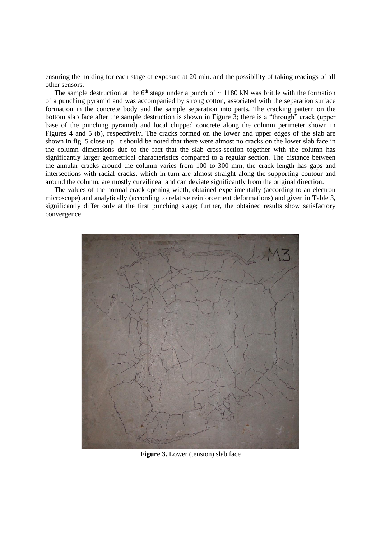ensuring the holding for each stage of exposure at 20 min. and the possibility of taking readings of all other sensors.

The sample destruction at the  $6<sup>th</sup>$  stage under a punch of  $\sim$  1180 kN was brittle with the formation of a punching pyramid and was accompanied by strong cotton, associated with the separation surface formation in the concrete body and the sample separation into parts. The cracking pattern on the bottom slab face after the sample destruction is shown in Figure 3; there is a "through" crack (upper base of the punching pyramid) and local chipped concrete along the column perimeter shown in Figures 4 and 5 (b), respectively. The cracks formed on the lower and upper edges of the slab are shown in fig. 5 close up. It should be noted that there were almost no cracks on the lower slab face in the column dimensions due to the fact that the slab cross-section together with the column has significantly larger geometrical characteristics compared to a regular section. The distance between the annular cracks around the column varies from 100 to 300 mm, the crack length has gaps and intersections with radial cracks, which in turn are almost straight along the supporting contour and around the column, are mostly curvilinear and can deviate significantly from the original direction.

The values of the normal crack opening width, obtained experimentally (according to an electron microscope) and analytically (according to relative reinforcement deformations) and given in Table 3, significantly differ only at the first punching stage; further, the obtained results show satisfactory convergence.



**Figure 3.** Lower (tension) slab face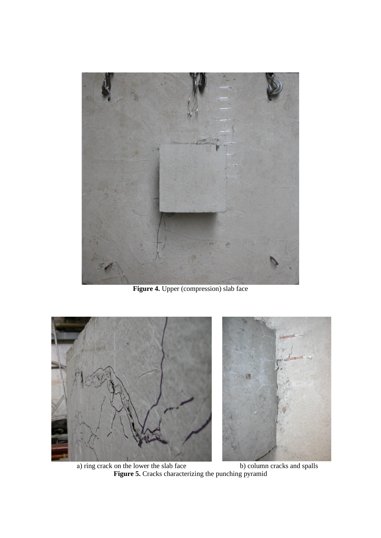

**Figure 4.** Upper (compression) slab face



a) ring crack on the lower the slab face b) column cracks and spalls **Figure 5.** Cracks characterizing the punching pyramid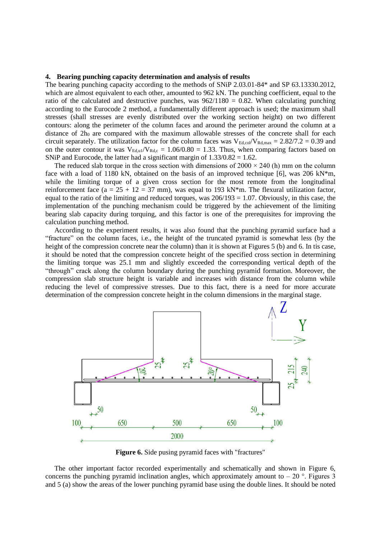#### **4. Bearing punching capacity determination and analysis of results**

The bearing punching capacity according to the methods of SNiP 2.03.01-84\* and SP 63.13330.2012, which are almost equivalent to each other, amounted to 962 kN. The punching coefficient, equal to the ratio of the calculated and destructive punches, was  $962/1180 = 0.82$ . When calculating punching according to the Eurocode 2 method, a fundamentally different approach is used; the maximum shall stresses (shall stresses are evenly distributed over the working section height) on two different contours: along the perimeter of the column faces and around the perimeter around the column at a distance of  $2h_0$  are compared with the maximum allowable stresses of the concrete shall for each circuit separately. The utilization factor for the column faces was  $V_{Ed,col}/V_{Rd,max} = 2.82/7.2 = 0.39$  and on the outer contour it was  $V_{Ed,u}/V_{Rd,c} = 1.06/0.80 = 1.33$ . Thus, when comparing factors based on SNiP and Eurocode, the latter had a significant margin of  $1.33/0.82 = 1.62$ .

The reduced slab torque in the cross section with dimensions of  $2000 \times 240$  (h) mm on the column face with a load of 1180 kN, obtained on the basis of an improved technique [6], was 206 kN\*m, while the limiting torque of a given cross section for the most remote from the longitudinal reinforcement face (a =  $25 + 12 = 37$  mm), was equal to 193 kN\*m. The flexural utilization factor, equal to the ratio of the limiting and reduced torques, was  $206/193 = 1.07$ . Obviously, in this case, the implementation of the punching mechanism could be triggered by the achievement of the limiting bearing slab capacity during torquing, and this factor is one of the prerequisites for improving the calculation punching method.

According to the experiment results, it was also found that the punching pyramid surface had a "fracture" on the column faces, i.e., the height of the truncated pyramid is somewhat less (by the height of the compression concrete near the column) than it is shown at Figures 5 (b) and 6. In tis case, it should be noted that the compression concrete height of the specified cross section in determining the limiting torque was 25.1 mm and slightly exceeded the corresponding vertical depth of the "through" crack along the column boundary during the punching pyramid formation. Moreover, the compression slab structure height is variable and increases with distance from the column while reducing the level of compressive stresses. Due to this fact, there is a need for more accurate determination of the compression concrete height in the column dimensions in the marginal stage.



**Figure 6.** Side pusing pyramid faces with "fractures"

The other important factor recorded experimentally and schematically and shown in Figure 6, concerns the punching pyramid inclination angles, which approximately amount to  $-20$  °. Figures 3 and 5 (a) show the areas of the lower punching pyramid base using the double lines. It should be noted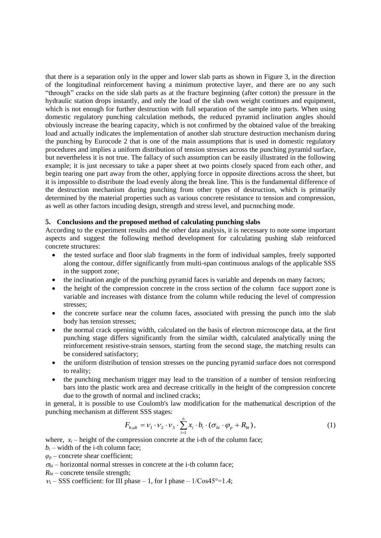that there is a separation only in the upper and lower slab parts as shown in Figure 3, in the direction of the longitudinal reinforcement having a minimum protective layer, and there are no any such "through" cracks on the side slab parts as at the fracture beginning (after cotton) the pressure in the hydraulic station drops instantly, and only the load of the slab own weight continues and equipment, which is not enough for further destruction with full separation of the sample into parts. When using domestic regulatory punching calculation methods, the reduced pyramid inclination angles should obviously increase the bearing capacity, which is not confirmed by the obtained value of the breaking load and actually indicates the implementation of another slab structure destruction mechanism during the punching by Eurocode 2 that is one of the main assumptions that is used in domestic regulatory procedures and implies a uniform distribution of tension stresses across the punching pyramid surface, but nevertheless it is not true. The fallacy of such assumption can be easily illustrated in the following example; it is just necessary to take a paper sheet at two points closely spaced from each other, and begin tearing one part away from the other, applying force in opposite directions across the sheet, but it is impossible to distribute the load evenly along the break line. This is the fundamental difference of the destruction mechanism during punching from other types of destruction, which is primarily determined by the material properties such as various concrete resistance to tension and compression, as well as other factors incuding design, strength and stress level, and pucnnching mode.

#### **5. Conclusions and the proposed method of calculating punching slabs**

According to the experiment results and the other data analysis, it is necessary to note some important aspects and suggest the following method development for calculating pushing slab reinforced concrete structures:

- the tested surface and floor slab fragments in the form of individual samples, freely supported along the contour, differ significantly from multi-span continuous analogs of the applicable SSS in the support zone;
- the inclination angle of the punching pyramid faces is variable and depends on many factors;
- the height of the compression concrete in the cross section of the column face support zone is variable and increases with distance from the column while reducing the level of compression stresses;
- the concrete surface near the column faces, associated with pressing the punch into the slab body has tension stresses;
- the normal crack opening width, calculated on the basis of electron microscope data, at the first punching stage differs significantly from the similar width, calculated analytically using the reinforcement resistive-strain sensors, starting from the second stage, the matching results can be considered satisfactory;
- the uniform distribution of tension stresses on the puncing pyramid surface does not correspond to reality;
- the punching mechanism trigger may lead to the transition of a number of tension reinforcing bars into the plastic work area and decrease critically in the height of the compression concrete due to the growth of normal and inclined cracks;

in general, it is possible to use Coulomb's law modification for the mathematical description of the punching mechanism at different SSS stages:

$$
F_{b,ult} = V_1 \cdot V_2 \cdot V_3 \cdot \sum_{i=1}^{n} x_i \cdot b_i \cdot (\sigma_{bi} \cdot \varphi_p + R_{bt}),
$$
\n(1)

where,  $x_i$  – height of the compression concrete at the i-th of the column face;

 $b_i$  – width of the *i*-th column face;

 $\varphi_p$  – concrete shear coefficient;

 $\sigma_{hi}$  – horizontal normal stresses in concrete at the i-th column face;

 $R_{bt}$  – concrete tensile strength;

 $v_1$  – SSS coefficient: for III phase – 1, for I phase –  $1/Cos45^\circ=1.4$ ;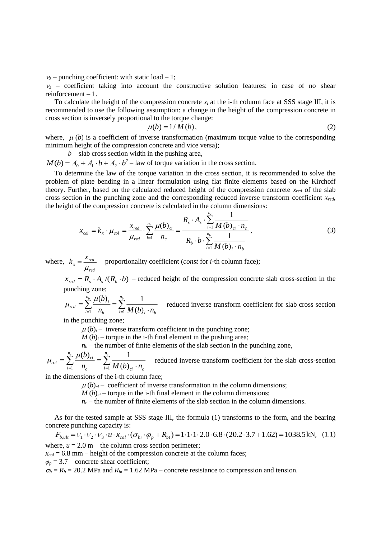$v_2$  – punching coefficient: with static load – 1;

 $v_3$  – coefficient taking into account the constructive solution features: in case of no shear reinforcement – 1.

To calculate the height of the compression concrete  $x_i$  at the i-th column face at SSS stage III, it is recommended to use the following assumption: a change in the height of the compression concrete in cross section is inversely proportional to the torque change:

$$
\mu(b) = 1/M(b),\tag{2}
$$

where,  $\mu$  (*b*) is a coefficient of inverse transformation (maximum torque value to the corresponding minimum height of the compression concrete and vice versa);

 $b$  – slab cross section width in the pushing area,

 $M(b) = A_0 + A_1 \cdot b + A_2 \cdot b^2$  – law of torque variation in the cross section.

To determine the law of the torque variation in the cross section, it is recommended to solve the problem of plate bending in a linear formulation using flat finite elements based on the Kirchoff theory. Further, based on the calculated reduced height of the compression concrete *xred* of the slab cross section in the punching zone and the corresponding reduced inverse transform coefficient *xred*, the height of the compression concrete is calculated in the column dimensions:

$$
x_{col} = k_x \cdot \mu_{col} = \frac{x_{red}}{\mu_{red}} \cdot \sum_{i=1}^{n_c} \frac{\mu(b)_{ci}}{n_c} = \frac{R_s \cdot A_s \cdot \sum_{i=1}^{n_c} \frac{1}{M(b)_{ci} \cdot n_c}}{R_b \cdot b \cdot \sum_{i=1}^{n_b} \frac{1}{M(b)_i \cdot n_b}},
$$
(3)

where, *red*  $r = \frac{r_{red}}{r}$  $k = \frac{x}{x}$  $\mu$  $=\frac{X_{red}}{X_{red}}$  – proportionality coefficient (*const* for *i*-th column face);

 $x_{\text{red}} = R_s \cdot A_s / (R_b \cdot b)$  – reduced height of the compression concrete slab cross-section in the punching zone;

$$
\mu_{\text{red}} = \sum_{i=1}^{n_b} \frac{\mu(b)_i}{n_b} = \sum_{i=1}^{n_b} \frac{1}{M(b)_i \cdot n_b}
$$
 – reduced inverse transform coefficient for slab cross section

in the punching zone;

 $\mu(b)$ <sub>*i*</sub> – inverse transform coefficient in the punching zone;

 $M(b)$ <sub>i</sub> – torque in the i-th final element in the pushing area;

 $n_b$  – the number of finite elements of the slab section in the punching zone,

$$
\mu_{col} = \sum_{i=1}^{n_c} \frac{\mu(b)_{ci}}{n_c} = \sum_{i=1}^{n_c} \frac{1}{M(b)_{ci} \cdot n_c}
$$
 – reduced inverse transform coefficient for the slab cross-section

in the dimensions of the i-th column face;

 $\mu(b)_{ci}$  – coefficient of inverse transformation in the column dimensions;

 $M(b)_{ci}$  – torque in the i-th final element in the column dimensions;

 $n_c$  – the number of finite elements of the slab section in the column dimensions.

As for the tested sample at SSS stage III, the formula (1) transforms to the form, and the bearing concrete punching capacity is:

$$
F_{b,ult} = v_1 \cdot v_2 \cdot v_3 \cdot u \cdot x_{col} \cdot (\sigma_{bi} \cdot \varphi_p + R_{bi}) = 1 \cdot 1 \cdot 1 \cdot 2.0 \cdot 6.8 \cdot (20.2 \cdot 3.7 + 1.62) = 1038.5 \text{ kN}, \quad (1.1)
$$
  
where,  $u = 2.0 \text{ m}$  - the column cross section perimeter;

 $x_{col} = 6.8$  mm – height of the compression concrete at the column faces;

 $\varphi_p = 3.7$  – concrete shear coefficient;

 $\sigma_b = R_b = 20.2$  MPa and  $R_{bt} = 1.62$  MPa – concrete resistance to compression and tension.